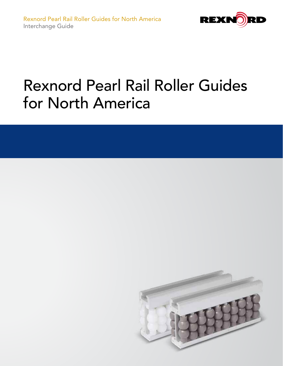

# Rexnord Pearl Rail Roller Guides for North America

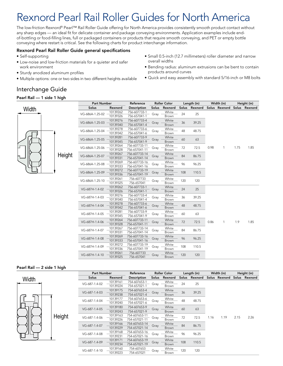# Rexnord Pearl Rail Roller Guides for North America

The low-friction Rexnord® Pearl™ Rail Roller Guide offering for North America provides consistently smooth product contact without any sharp edges — an ideal fit for delicate container and package conveying environments. Application examples include endof-bottling or food-filling lines, full or packaged containers or products that require smooth conveying, and PET or empty bottle conveying where restart is critical. See the following charts for product interchange information.

# Rexnord Pearl Rail Roller Guide general specifications

- Self-supporting
- Low-noise and low-friction materials for a quieter and safer work environment
- Sturdy anodized aluminum profiles
- Multiple options: one or two sides in two different heights available

#### • Small 0.5-inch (12.7 millimeters) roller diameter and narrow overall widths • Bending radius: aluminum extrusions can be bent to contain

- products around curves
- Quick and easy assembly with standard 5/16-inch or M8 bolts

# Interchange Guide

## Pearl Rail — 1 side 1 high



| <b>Part Number</b> |          | Reference     | <b>Roller Color</b> |              | Length (in) |         | Width (in) |               | Height (in) |         |
|--------------------|----------|---------------|---------------------|--------------|-------------|---------|------------|---------------|-------------|---------|
| Solus              | Rexnord  | Description   | Solus               | Rexnord      | Solus       | Rexnord |            | Solus Rexnord | Solus       | Rexnord |
| VG-686A-1.25-02    | 10139262 | 756-607733-1  |                     | White        | 24          | 25      |            |               |             |         |
|                    | 10139326 | 756-657041-1  | Gray                | Brown        |             |         |            |               |             |         |
| VG-686A-1.25-03    | 10139276 | 756-607733-4  |                     | White        | 36          | 39.25   |            |               |             |         |
|                    | 10139340 | 756-657041-4  | Gray                | Brown        |             |         |            |               |             |         |
|                    | 10139278 | 756-607733-6  |                     | White        |             |         |            |               |             |         |
| VG-686A-1.25-04    | 10139342 | 756-657041-6  | Gray                | Brown        | 48          | 48.75   |            |               |             |         |
| VG-686A-1.25-05    | 10139281 | 756-607733-9  |                     | White        | 60          | 63      |            |               |             |         |
|                    | 10139345 | 756-657041-9  | Gray                | Brown        |             |         |            |               |             |         |
| VG-686A-1.25-06    | 10139264 | 756-607733-11 |                     | White        | 72          | 72.5    | 0.98       | 1             | 1.75        | 1.85    |
|                    | 10139328 | 756-657041-11 | Gray                | Brown        |             |         |            |               |             |         |
|                    | 10139267 | 756-607733-14 |                     | White        | 84          |         |            |               |             |         |
| VG-686A-1.25-07    | 10139331 | 756-657041-14 | Gray                | Brown        |             | 86.75   |            |               |             |         |
| VG-686A-1.25-08    | 10139269 | 756-607733-16 |                     | White        | 96          | 96.25   |            |               |             |         |
|                    | 10139333 | 756-657041-16 | Gray                | Brown        |             |         |            |               |             |         |
| VG-686A-1.25-09    | 10139272 | 756-607733-19 | Gray                | White        | 108         | 110.5   |            |               |             |         |
|                    | 10139336 | 756-657041-19 |                     | Brown        |             |         |            |               |             |         |
| VG-686A-1.25-10    | 10139261 | 756-607733    | Gray                | White        | 120         | 120     |            |               |             |         |
|                    | 10139325 | 756-657041    |                     | Brown        |             |         |            |               |             |         |
| VG-687H-1.4-02     | 10139262 | 756-607733-1  | Gray                | White        | 24          | 25      |            |               |             |         |
|                    | 10139326 | 756-657041-1  |                     | Brown        |             |         |            |               |             |         |
| VG-687H-1.4-03     | 10139276 | 756-607733-4  |                     | White        | 36          | 39.25   |            |               |             |         |
|                    | 10139340 | 756-657041-4  | Gray                | Brown        |             |         |            |               |             |         |
| VG-687H-1.4-04     | 10139278 | 756-607733-6  |                     | White        | 48          | 48.75   |            |               |             |         |
|                    | 10139342 | 756-657041-6  | Gray                | Brown        |             |         |            |               |             |         |
| VG-687H-1.4-05     | 10139281 | 756-607733-9  |                     | White        | 60          | 63      |            |               |             |         |
|                    | 10139345 | 756-657041-9  | Gray                | Brown        |             |         |            |               |             |         |
| VG-687H-1.4-06     | 10139264 | 756-607733-11 | Gray                | White        | 72          | 72.5    | 0.86       | 1             | 1.9         | 1.85    |
|                    | 10139328 | 756-657041-11 |                     | Brown        |             |         |            |               |             |         |
| VG-687H-1.4-07     | 10139267 | 756-607733-14 | Gray                | White        | 84          | 86.75   |            |               |             |         |
|                    | 10139331 | 756-657041-14 |                     | <b>Brown</b> |             |         |            |               |             |         |
| VG-687H-1.4-08     | 10139269 | 756-607733-16 |                     | White        |             |         |            |               |             |         |
|                    | 10139333 | 756-657041-16 | Gray                | Brown        | 96          | 96.25   |            |               |             |         |
|                    | 10139272 | 756-607733-19 |                     | White        | 108         | 110.5   |            |               |             |         |
| VG-687H-1.4-09     | 10139336 | 756-657041-19 | Gray                | Brown        |             |         |            |               |             |         |
|                    | 10139261 | 756-607733    |                     | White        |             | 120     |            |               |             |         |
| VG-687H-1.4-10     | 10139325 | 756-657041    | Gray                | Brown        | 120         |         |            |               |             |         |

## Pearl Rail — 2 side 1 high



| <b>Part Number</b> |          | Reference          |       | <b>Roller Color</b> | Length (in)  |         | Width (in) |               | Height (in) |         |
|--------------------|----------|--------------------|-------|---------------------|--------------|---------|------------|---------------|-------------|---------|
| Solus              | Rexnord  | <b>Description</b> | Solus | Rexnord             | <b>Solus</b> | Rexnord |            | Solus Rexnord | Solus       | Rexnord |
| VG-687-1.4-02      | 10139161 | 754-607653-1       |       | White               | 24           | 25      |            | 1.19          | 2.15        | 2.26    |
|                    | 10139224 | 754-657021-1       | Gray  | Brown               |              |         |            |               |             |         |
| VG-687-1.4-03      | 10139175 | 754-607653-4       |       | White               | 36           | 39.25   |            |               |             |         |
|                    | 10139238 | 754-657021-4       | Gray  | <b>Brown</b>        |              |         |            |               |             |         |
| VG-687-1.4-04      | 10139177 | 754-607653-6       |       | White               | 48           | 48.75   | 1.16       |               |             |         |
|                    | 10139240 | 754-657021-6       | Gray  | Brown               |              |         |            |               |             |         |
| VG-687-1.4-05      | 10139180 | 754-607653-9       |       | White               | 60           | 63      |            |               |             |         |
|                    | 10139243 | 754-657021-9       | Gray  | <b>Brown</b>        |              |         |            |               |             |         |
| VG-687-1.4-06      | 10139163 | 754-607653-11      | Gray  | White               | 72           | 72.5    |            |               |             |         |
|                    | 10139226 | 754-657021-11      |       | Brown               |              |         |            |               |             |         |
| VG-687-1.4-07      | 10139166 | 754-607653-14      | Gray  | White               | 84           | 86.75   |            |               |             |         |
|                    | 10139229 | 754-657021-14      |       | <b>Brown</b>        |              |         |            |               |             |         |
| VG-687-1.4-08      | 10139168 | 754-607653-16      | Gray  | White               | 96           | 96.25   |            |               |             |         |
|                    | 10139231 | 754-657021-16      |       | Brown               |              |         |            |               |             |         |
| VG-687-1.4-09      | 10139171 | 754-607653-19      | Gray  | White               | 108          | 110.5   |            |               |             |         |
|                    | 10139234 | 754-657021-19      |       | <b>Brown</b>        |              |         |            |               |             |         |
| VG-687-1.4-10      | 10139160 | 754-607653         | Gray  | White               | 120          | 120     |            |               |             |         |
|                    | 10139223 | 754-657021         |       | Brown               |              |         |            |               |             |         |
|                    |          |                    |       |                     |              |         |            |               |             |         |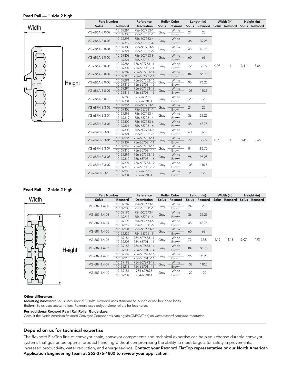#### Pearl Rail — 1 side 2 high



| <b>Part Number</b> |          | Reference     | <b>Roller Color</b> |              | Length (in)      |       | Width (in) |               | Height (in) |               |
|--------------------|----------|---------------|---------------------|--------------|------------------|-------|------------|---------------|-------------|---------------|
| Solus              | Rexnord  | Description   | Solus               | Rexnord      | Solus<br>Rexnord |       |            | Solus Rexnord |             | Solus Rexnord |
| VG-686A-3.0-02     | 10139284 | 756-607753-1  |                     | White        | 24               | 25    |            |               |             |               |
|                    | 10139305 | 756-657031-1  | Gray                | Brown        |                  |       |            |               |             |               |
| VG-686A-3.0-03     | 10139298 | 756-607753-4  |                     | White        |                  | 39.25 |            |               |             |               |
|                    | 10139319 | 756-657031-4  | Gray                | Brown        | 36               |       |            |               |             |               |
| VG-686A-3.0-04     | 10139300 | 756-607753-6  |                     | White        | 48               | 48.75 |            |               |             |               |
|                    | 10139321 | 756-657031-6  | Gray                | Brown        |                  |       |            |               |             |               |
| VG-686A-3.0-05     | 10139303 | 756-607753-9  |                     | White        | 60               | 63    |            |               |             |               |
|                    | 10139324 | 756-657031-9  | Gray                | Brown        |                  |       |            |               |             |               |
| VG-686A-3.0-06     | 10139286 | 756-607753-11 |                     | White        | 72               | 72.5  | 0.98       | 1             | 3.41        | 3.66          |
|                    | 10139307 | 756-657031-11 | Gray                | Brown        |                  |       |            |               |             |               |
| VG-686A-3.0-07     | 10139289 | 756-607753-14 | Gray                | White        | 84               | 86.75 |            |               |             |               |
|                    | 10139310 | 756-657031-14 |                     | Brown        |                  |       |            |               |             |               |
| VG-686A-3.0-08     | 10139291 | 756-607753-16 | Gray                | White        | 96               | 96.25 |            |               |             |               |
|                    | 10139312 | 756-657031-16 |                     | Brown        |                  |       |            |               |             |               |
| VG-686A-3.0-09     | 10139294 | 756-607753-19 | Gray                | White        | 108              | 110.5 |            |               |             |               |
|                    | 10139315 | 756-657031-19 |                     | Brown        |                  |       |            |               |             |               |
| VG-686A-3.0-10     | 10139283 | 756-607753    | Gray                | White        | 120              | 120   |            |               |             |               |
|                    | 10139304 | 756-657031    |                     | Brown        |                  |       |            |               |             |               |
| VG-687H-3.3-02     | 10139284 | 756-607753-1  | Gray                | White        | 24               | 25    |            |               |             |               |
|                    | 10139305 | 756-657031-1  |                     | Brown        |                  |       |            |               |             |               |
| VG-687H-3.3-04     | 10139298 | 756-607753-4  | Gray                | White        | 36               | 39.25 |            |               |             |               |
|                    | 10139319 | 756-657031-4  |                     | Brown        |                  |       |            |               |             |               |
| VG-687H-3.3-04     | 10139300 | 756-607753-6  | Gray                | White        | 48               | 48.75 |            |               |             |               |
|                    | 10139321 | 756-657031-6  |                     | Brown        |                  |       |            |               |             |               |
| VG-687H-3.3-05     | 10139303 | 756-607753-9  | Gray                | White        | 60               | 63    |            |               |             |               |
|                    | 10139324 | 756-657031-9  |                     | Brown        |                  |       |            |               |             |               |
| VG-687H-3.3-06     | 10139286 | 756-607753-11 | Gray                | White        | 72               | 72.5  | 0.98       | 1             | 3.41        | 3.66          |
|                    | 10139307 | 756-657031-11 |                     | Brown        |                  |       |            |               |             |               |
| VG-687H-3.3-07     | 10139289 | 756-607753-14 | Gray                | White        | 84               | 86.75 |            |               |             |               |
|                    | 10139310 | 756-657031-14 |                     | Brown        |                  |       |            |               |             |               |
| VG-687H-3.3-08     | 10139291 | 756-607753-16 | Gray                | White        | 96               | 96.25 |            |               |             |               |
|                    | 10139312 | 756-657031-16 |                     | Brown        |                  |       |            |               |             |               |
| VG-687H-3.3-09     | 10139294 | 756-607753-19 | Gray                | White        | 108              | 110.5 |            |               |             |               |
|                    | 10139315 | 756-657031-19 |                     | Brown        |                  |       |            |               |             |               |
| VG-687H-3.3-10     | 10139283 | 756-607753    | Gray                | White        | 120              | 120   |            |               |             |               |
|                    | 10139304 | 756-657031    |                     | <b>Brown</b> |                  |       |            |               |             |               |

#### Pearl Rail — 2 side 2 high

|  |       | <b>Part Number</b> |               | Reference | <b>Roller Color</b> |       | Length (in) |     | Width (in)    |      | Height (in)   |      |               |
|--|-------|--------------------|---------------|-----------|---------------------|-------|-------------|-----|---------------|------|---------------|------|---------------|
|  | Width |                    | <b>Solus</b>  | Rexnord   | Description         | Solus | Rexnord     |     | Solus Rexnord |      | Solus Rexnord |      | Solus Rexnord |
|  |       |                    | VG-687-1.4-02 | 10139182  | 754-607673-1        |       | White       | 24  | 25            |      |               |      |               |
|  |       |                    |               | 10139203  | 754-657011-1        | Gray  | Brown       |     |               |      |               |      |               |
|  |       |                    | VG-687-1.4-03 | 10139196  | 754-607673-4        | Gray  | White       | 36  | 39.25         | 1.16 | 1.19          | 3.07 |               |
|  |       |                    |               | 10139217  | 754-657011-4        |       | Brown       |     |               |      |               |      |               |
|  |       |                    | VG-687-1.4-04 | 10139198  | 754-607673-6        |       | White       | 48  | 48.75         |      |               |      |               |
|  |       |                    |               | 10139219  | 754-657011-6        | Gray  | Brown       |     |               |      |               |      |               |
|  |       |                    | VG-687-1.4-05 | 10139201  | 754-607673-9        | Gray  | White       | 60  | 63            |      |               |      |               |
|  |       |                    |               | 10139222  | 754-657011-9        |       | Brown       |     |               |      |               |      |               |
|  |       |                    | VG-687-1.4-06 | 10139184  | 754-607673-11       | Gray  | White       | 72  | 72.5          |      |               |      | 4.07          |
|  |       |                    |               | 10139205  | 754-657011-11       |       | Brown       |     |               |      |               |      |               |
|  |       |                    | VG-687-1.4-07 | 10139187  | 754-607673-14       | Gray  | White       | 84  | 86.75         |      |               |      |               |
|  | O     | Height             |               | 10139208  | 754-657011-14       |       | Brown       |     |               |      |               |      |               |
|  |       |                    | VG-687-1.4-08 | 10139189  | 754-607673-16       | Gray  | White       | 96  | 96.25         |      |               |      |               |
|  |       |                    |               | 10139210  | 754-657011-16       |       | Brown       |     |               |      |               |      |               |
|  |       |                    | VG-687-1.4-09 | 10139192  | 754-607673-19       | Gray  | White       | 108 | 110.5         |      |               |      |               |
|  |       |                    |               | 10139213  | 754-657011-19       |       | Brown       |     |               |      |               |      |               |
|  |       |                    | VG-687-1.4-10 | 10139181  | 754-607673          | Gray  | White       | 120 | 120           |      |               |      |               |
|  |       |                    |               | 10139202  | 754-657011          |       | Brown       |     |               |      |               |      |               |

#### Other differences:

╙┙┚╜

*Mounting hardware:* Solus uses special T-Bolts. Rexnord uses standard 5/16-inch or M8 hex head bolts. *Rollers:* Solus uses acetal rollers. Rexnord uses polyethylene rollers for less noise.

#### For additional Rexnord Pearl Rail Roller Guide sizes:

Consult the North American Rexnord Conveyor Components catalog (8rxCMPCAT-en) on *www.rexnord.com/documentation*

# Depend on us for technical expertise

The Rexnord FlatTop line of conveyor chain, conveyor components and technical expertise can help you choose durable conveyor systems that guarantee optimal product handling without compromising the ability to meet targets for safety improvements, increased productivity, water reduction, and energy savings. Contact your Rexnord FlatTop representative or our North American Application Engineering team at 262-376-4800 to review your application.